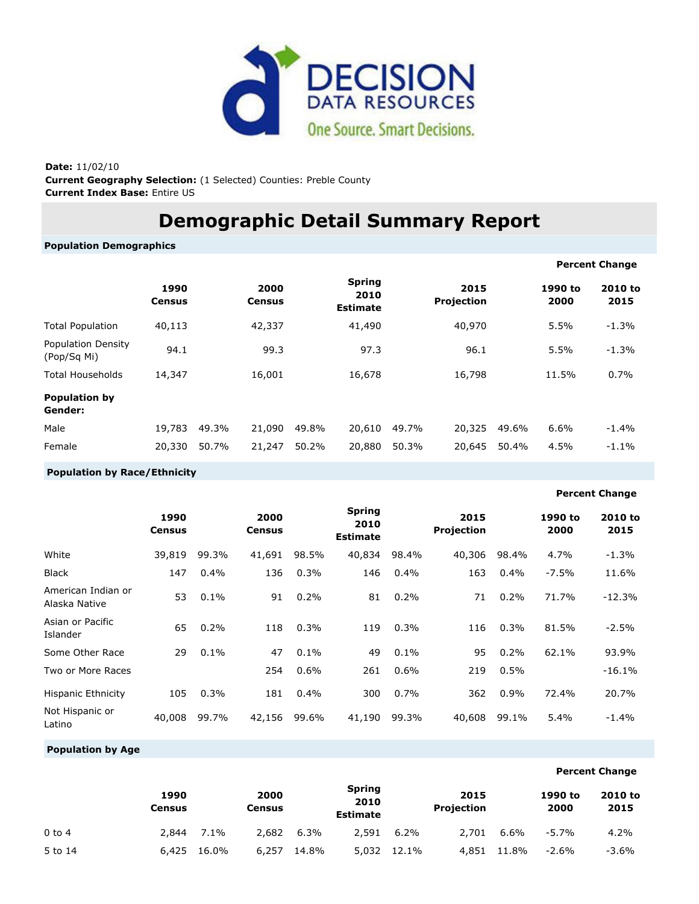

**Date:** 11/02/10 **Current Geography Selection:** (1 Selected) Counties: Preble County **Current Index Base:** Entire US

# **Demographic Detail Summary Report**

**Population Demographics**

|                                          |                       |       |                       |       |                                          |       |                    |       |                 | <b>Percent Change</b> |
|------------------------------------------|-----------------------|-------|-----------------------|-------|------------------------------------------|-------|--------------------|-------|-----------------|-----------------------|
|                                          | 1990<br><b>Census</b> |       | 2000<br><b>Census</b> |       | <b>Spring</b><br>2010<br><b>Estimate</b> |       | 2015<br>Projection |       | 1990 to<br>2000 | 2010 to<br>2015       |
| <b>Total Population</b>                  | 40,113                |       | 42,337                |       | 41,490                                   |       | 40,970             |       | 5.5%            | $-1.3%$               |
| <b>Population Density</b><br>(Pop/Sq Mi) | 94.1                  |       | 99.3                  |       | 97.3                                     |       | 96.1               |       | 5.5%            | $-1.3%$               |
| <b>Total Households</b>                  | 14,347                |       | 16,001                |       | 16,678                                   |       | 16,798             |       | 11.5%           | 0.7%                  |
| <b>Population by</b><br>Gender:          |                       |       |                       |       |                                          |       |                    |       |                 |                       |
| Male                                     | 19,783                | 49.3% | 21,090                | 49.8% | 20,610                                   | 49.7% | 20,325             | 49.6% | 6.6%            | $-1.4%$               |
| Female                                   | 20,330                | 50.7% | 21,247                | 50.2% | 20,880                                   | 50.3% | 20,645             | 50.4% | 4.5%            | $-1.1%$               |

## **Population by Race/Ethnicity**

## **Percent Change**

|                                     | 1990<br>Census |       | 2000<br><b>Census</b> |       | <b>Spring</b><br>2010<br><b>Estimate</b> |       | 2015<br>Projection |       | 1990 to<br>2000 | 2010 to<br>2015 |
|-------------------------------------|----------------|-------|-----------------------|-------|------------------------------------------|-------|--------------------|-------|-----------------|-----------------|
| White                               | 39,819         | 99.3% | 41,691                | 98.5% | 40,834                                   | 98.4% | 40,306             | 98.4% | 4.7%            | $-1.3%$         |
| <b>Black</b>                        | 147            | 0.4%  | 136                   | 0.3%  | 146                                      | 0.4%  | 163                | 0.4%  | $-7.5%$         | 11.6%           |
| American Indian or<br>Alaska Native | 53             | 0.1%  | 91                    | 0.2%  | 81                                       | 0.2%  | 71                 | 0.2%  | 71.7%           | $-12.3%$        |
| Asian or Pacific<br>Islander        | 65             | 0.2%  | 118                   | 0.3%  | 119                                      | 0.3%  | 116                | 0.3%  | 81.5%           | $-2.5%$         |
| Some Other Race                     | 29             | 0.1%  | 47                    | 0.1%  | 49                                       | 0.1%  | 95                 | 0.2%  | 62.1%           | 93.9%           |
| Two or More Races                   |                |       | 254                   | 0.6%  | 261                                      | 0.6%  | 219                | 0.5%  |                 | $-16.1%$        |
| <b>Hispanic Ethnicity</b>           | 105            | 0.3%  | 181                   | 0.4%  | 300                                      | 0.7%  | 362                | 0.9%  | 72.4%           | 20.7%           |
| Not Hispanic or<br>Latino           | 40,008         | 99.7% | 42,156                | 99.6% | 41,190                                   | 99.3% | 40,608             | 99.1% | 5.4%            | $-1.4\%$        |

## **Population by Age**

|            |                       |       |                |       |                                          |         |                           |       |                 | <b>Percent Change</b> |
|------------|-----------------------|-------|----------------|-------|------------------------------------------|---------|---------------------------|-------|-----------------|-----------------------|
|            | 1990<br><b>Census</b> |       | 2000<br>Census |       | <b>Spring</b><br>2010<br><b>Estimate</b> |         | 2015<br><b>Projection</b> |       | 1990 to<br>2000 | 2010 to<br>2015       |
| $0$ to $4$ | 2,844                 | 7.1%  | 2.682          | 6.3%  | 2,591                                    | $6.2\%$ | 2,701                     | 6.6%  | $-5.7\%$        | 4.2%                  |
| 5 to 14    | 6,425                 | 16.0% | 6,257          | 14.8% | 5,032                                    | 12.1%   | 4,851                     | 11.8% | $-2.6\%$        | -3.6%                 |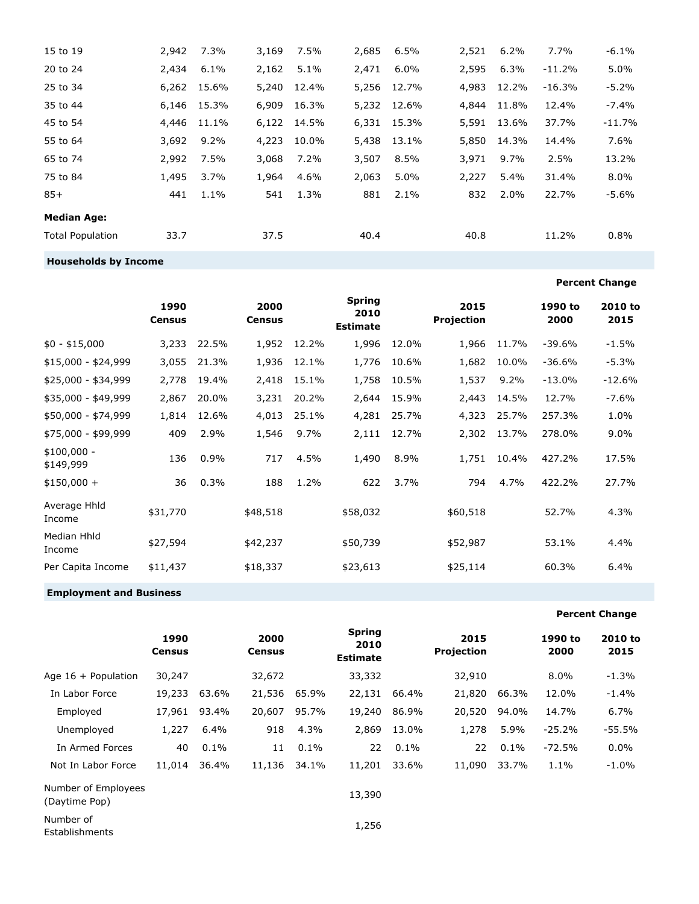| 15 to 19                    | 2,942 | 7.3%    | 3,169 | 7.5%  | 2,685 | 6.5%    | 2,521 | 6.2%    | 7.7%     | $-6.1%$  |
|-----------------------------|-------|---------|-------|-------|-------|---------|-------|---------|----------|----------|
| 20 to 24                    | 2,434 | 6.1%    | 2,162 | 5.1%  | 2,471 | $6.0\%$ | 2,595 | 6.3%    | $-11.2%$ | 5.0%     |
| 25 to 34                    | 6,262 | 15.6%   | 5,240 | 12.4% | 5,256 | 12.7%   | 4,983 | 12.2%   | $-16.3%$ | -5.2%    |
| 35 to 44                    | 6,146 | 15.3%   | 6,909 | 16.3% | 5,232 | 12.6%   | 4,844 | 11.8%   | 12.4%    | $-7.4%$  |
| 45 to 54                    | 4,446 | 11.1%   | 6,122 | 14.5% | 6,331 | 15.3%   | 5,591 | 13.6%   | 37.7%    | $-11.7%$ |
| 55 to 64                    | 3,692 | $9.2\%$ | 4,223 | 10.0% | 5,438 | 13.1%   | 5,850 | 14.3%   | 14.4%    | 7.6%     |
| 65 to 74                    | 2,992 | 7.5%    | 3,068 | 7.2%  | 3,507 | 8.5%    | 3,971 | $9.7\%$ | 2.5%     | 13.2%    |
| 75 to 84                    | 1,495 | 3.7%    | 1,964 | 4.6%  | 2,063 | 5.0%    | 2,227 | $5.4\%$ | 31.4%    | 8.0%     |
| $85+$                       | 441   | 1.1%    | 541   | 1.3%  | 881   | 2.1%    | 832   | 2.0%    | 22.7%    | $-5.6%$  |
| <b>Median Age:</b>          |       |         |       |       |       |         |       |         |          |          |
| <b>Total Population</b>     | 33.7  |         | 37.5  |       | 40.4  |         | 40.8  |         | 11.2%    | 0.8%     |
| <b>Households by Income</b> |       |         |       |       |       |         |       |         |          |          |

|                           | 1990<br><b>Census</b> |       | 2000<br><b>Census</b> |       | <b>Spring</b><br>2010<br><b>Estimate</b> |       | 2015<br>Projection |       | 1990 to<br>2000 | 2010 to<br>2015 |
|---------------------------|-----------------------|-------|-----------------------|-------|------------------------------------------|-------|--------------------|-------|-----------------|-----------------|
| $$0 - $15,000$            | 3,233                 | 22.5% | 1,952                 | 12.2% | 1,996                                    | 12.0% | 1,966              | 11.7% | $-39.6%$        | $-1.5%$         |
| $$15,000 - $24,999$       | 3,055                 | 21.3% | 1,936                 | 12.1% | 1,776                                    | 10.6% | 1,682              | 10.0% | $-36.6%$        | $-5.3%$         |
| \$25,000 - \$34,999       | 2,778                 | 19.4% | 2,418                 | 15.1% | 1,758                                    | 10.5% | 1,537              | 9.2%  | $-13.0%$        | $-12.6%$        |
| \$35,000 - \$49,999       | 2,867                 | 20.0% | 3,231                 | 20.2% | 2,644                                    | 15.9% | 2,443              | 14.5% | 12.7%           | $-7.6%$         |
| \$50,000 - \$74,999       | 1,814                 | 12.6% | 4,013                 | 25.1% | 4,281                                    | 25.7% | 4,323              | 25.7% | 257.3%          | 1.0%            |
| \$75,000 - \$99,999       | 409                   | 2.9%  | 1,546                 | 9.7%  | 2,111                                    | 12.7% | 2,302              | 13.7% | 278.0%          | 9.0%            |
| $$100,000 -$<br>\$149,999 | 136                   | 0.9%  | 717                   | 4.5%  | 1,490                                    | 8.9%  | 1,751              | 10.4% | 427.2%          | 17.5%           |
| $$150,000 +$              | 36                    | 0.3%  | 188                   | 1.2%  | 622                                      | 3.7%  | 794                | 4.7%  | 422.2%          | 27.7%           |
| Average Hhld<br>Income    | \$31,770              |       | \$48,518              |       | \$58,032                                 |       | \$60,518           |       | 52.7%           | 4.3%            |
| Median Hhld<br>Income     | \$27,594              |       | \$42,237              |       | \$50,739                                 |       | \$52,987           |       | 53.1%           | 4.4%            |
| Per Capita Income         | \$11,437              |       | \$18,337              |       | \$23,613                                 |       | \$25,114           |       | 60.3%           | 6.4%            |

## **Employment and Business**

**Percent Change**

**Percent Change**

|                                      | 1990<br><b>Census</b> |       | 2000<br><b>Census</b> |       | <b>Spring</b><br>2010<br><b>Estimate</b> |       | 2015<br>Projection |       | 1990 to<br>2000 | 2010 to<br>2015 |
|--------------------------------------|-----------------------|-------|-----------------------|-------|------------------------------------------|-------|--------------------|-------|-----------------|-----------------|
| Age $16 +$ Population                | 30,247                |       | 32,672                |       | 33,332                                   |       | 32,910             |       | $8.0\%$         | $-1.3%$         |
| In Labor Force                       | 19,233                | 63.6% | 21,536                | 65.9% | 22,131                                   | 66.4% | 21,820             | 66.3% | 12.0%           | $-1.4%$         |
| Employed                             | 17,961                | 93.4% | 20,607                | 95.7% | 19,240                                   | 86.9% | 20,520             | 94.0% | 14.7%           | 6.7%            |
| Unemployed                           | 1,227                 | 6.4%  | 918                   | 4.3%  | 2,869                                    | 13.0% | 1,278              | 5.9%  | $-25.2%$        | $-55.5%$        |
| In Armed Forces                      | 40                    | 0.1%  | 11                    | 0.1%  | 22                                       | 0.1%  | 22                 | 0.1%  | $-72.5%$        | 0.0%            |
| Not In Labor Force                   | 11,014                | 36.4% | 11,136                | 34.1% | 11,201                                   | 33.6% | 11,090             | 33.7% | 1.1%            | $-1.0%$         |
| Number of Employees<br>(Daytime Pop) |                       |       |                       |       | 13,390                                   |       |                    |       |                 |                 |
| Number of<br>Establishments          |                       |       |                       |       | 1,256                                    |       |                    |       |                 |                 |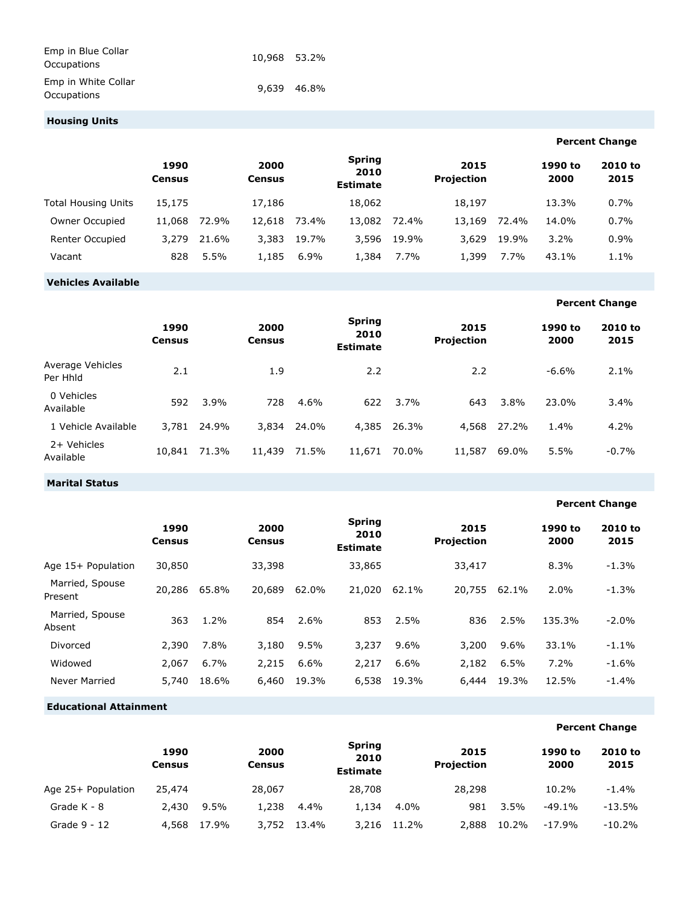| Emp in Blue Collar<br>Occupations  | 10.968 53.2% |             |
|------------------------------------|--------------|-------------|
| Emp in White Collar<br>Occupations |              | 9.639 46.8% |

## **Housing Units**

|                     |                       |       |                |       |                                          |       |                           |       |                 | <b>Percent Change</b> |
|---------------------|-----------------------|-------|----------------|-------|------------------------------------------|-------|---------------------------|-------|-----------------|-----------------------|
|                     | 1990<br><b>Census</b> |       | 2000<br>Census |       | <b>Spring</b><br>2010<br><b>Estimate</b> |       | 2015<br><b>Projection</b> |       | 1990 to<br>2000 | 2010 to<br>2015       |
| Total Housing Units | 15,175                |       | 17,186         |       | 18,062                                   |       | 18,197                    |       | 13.3%           | 0.7%                  |
| Owner Occupied      | 11,068                | 72.9% | 12,618         | 73.4% | 13,082                                   | 72.4% | 13,169                    | 72.4% | 14.0%           | 0.7%                  |
| Renter Occupied     | 3.279                 | 21.6% | 3.383          | 19.7% | 3,596                                    | 19.9% | 3.629                     | 19.9% | $3.2\%$         | 0.9%                  |
| Vacant              | 828                   | 5.5%  | 1.185          | 6.9%  | 1,384                                    | 7.7%  | 1,399                     | 7.7%  | 43.1%           | 1.1%                  |

## **Vehicles Available**

## **Percent Change**

|                              | 1990<br><b>Census</b> |       | 2000<br><b>Census</b> |       | <b>Spring</b><br>2010<br><b>Estimate</b> |             | 2015<br><b>Projection</b> |       | 1990 to<br>2000 | 2010 to<br>2015 |
|------------------------------|-----------------------|-------|-----------------------|-------|------------------------------------------|-------------|---------------------------|-------|-----------------|-----------------|
| Average Vehicles<br>Per Hhld | 2.1                   |       | 1.9                   |       | 2.2                                      |             | 2.2                       |       | $-6.6%$         | 2.1%            |
| 0 Vehicles<br>Available      | 592                   | 3.9%  | 728                   | 4.6%  | 622                                      | 3.7%        | 643                       | 3.8%  | 23.0%           | 3.4%            |
| 1 Vehicle Available          | 3.781                 | 24.9% | 3,834                 | 24.0% |                                          | 4,385 26.3% | 4,568                     | 27.2% | 1.4%            | 4.2%            |
| 2+ Vehicles<br>Available     | 10,841                | 71.3% | 11,439                | 71.5% | 11,671                                   | 70.0%       | 11,587                    | 69.0% | 5.5%            | $-0.7%$         |

## **Marital Status**

#### **Percent Change 1990 Census 2000 Census Spring 2010 Estimate 2015 Projection 1990 to 2000 2010 to 2015** Age 15+ Population 30,850 33,398 33,865 33,417 8.3% -1.3% Married, Spouse Present 20,286 65.8% 20,689 62.0% 21,020 62.1% 20,755 62.1% 2.0% -1.3% Married, Spouse Absent <sup>363</sup> 1.2% <sup>854</sup> 2.6% <sup>853</sup> 2.5% <sup>836</sup> 2.5% 135.3% -2.0% Divorced 2,390 7.8% 3,180 9.5% 3,237 9.6% 3,200 9.6% 33.1% -1.1% Widowed 2,067 6.7% 2,215 6.6% 2,217 6.6% 2,182 6.5% 7.2% -1.6% Never Married 5,740 18.6% 6,460 19.3% 6,538 19.3% 6,444 19.3% 12.5% -1.4%

#### **Educational Attainment**

#### **1990 Census 2000 Census Spring 2010 Estimate 2015 Projection 1990 to 2000 2010 to 2015** Age 25+ Population 25,474 28,067 28,708 28,298 10.2% -1.4% Grade K - 8 2,430 9.5% 1,238 4.4% 1,134 4.0% 981 3.5% -49.1% -13.5% Grade 9 - 12 4,568 17.9% 3,752 13.4% 3,216 11.2% 2,888 10.2% -17.9% -10.2%

## **Percent Change**